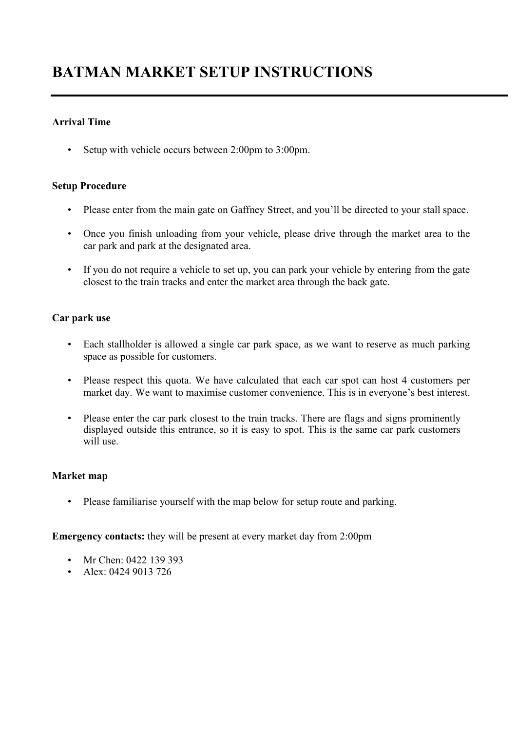# BATMAN MARKET SETUP INSTRUCTIONS

# Arrival Time

• Setup with vehicle occurs between 2:00pm to 3:00pm.

# Setup Procedure

- Please enter from the main gate on Gaffney Street, and you'll be directed to your stall space.
- Once you finish unloading from your vehicle, please drive through the market area to the car park and park at the designated area.
- If you do not require a vehicle to set up, you can park your vehicle by entering from the gate closest to the train tracks and enter the market area through the back gate.

# Car park use

- Each stallholder is allowed a single car park space, as we want to reserve as much parking space as possible for customers.
- Please respect this quota. We have calculated that each car spot can host 4 customers per market day. We want to maximise customer convenience. This is in everyone's best interest.
- Please enter the car park closest to the train tracks. There are flags and signs prominently displayed outside this entrance, so it is easy to spot. This is the same car park customers will use.

#### Market map

• Please familiarise yourself with the map below for setup route and parking.

Emergency contacts: they will be present at every market day from 2:00pm

- Mr Chen: 0422 139 393
- Alex: 0424 9013 726